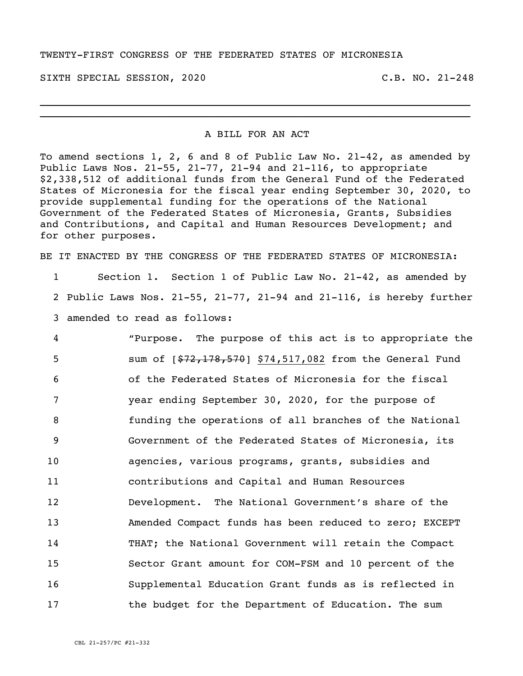## TWENTY-FIRST CONGRESS OF THE FEDERATED STATES OF MICRONESIA

SIXTH SPECIAL SESSION, 2020 C.B. NO. 21-248

## A BILL FOR AN ACT

\_\_\_\_\_\_\_\_\_\_\_\_\_\_\_\_\_\_\_\_\_\_\_\_\_\_\_\_\_\_\_\_\_\_\_\_\_\_\_\_\_\_\_\_\_\_\_\_\_\_\_\_\_\_\_\_\_\_\_\_\_\_\_\_\_\_\_\_\_\_ \_\_\_\_\_\_\_\_\_\_\_\_\_\_\_\_\_\_\_\_\_\_\_\_\_\_\_\_\_\_\_\_\_\_\_\_\_\_\_\_\_\_\_\_\_\_\_\_\_\_\_\_\_\_\_\_\_\_\_\_\_\_\_\_\_\_\_\_\_\_

To amend sections 1, 2, 6 and 8 of Public Law No. 21-42, as amended by Public Laws Nos. 21-55, 21-77, 21-94 and 21-116, to appropriate \$2,338,512 of additional funds from the General Fund of the Federated States of Micronesia for the fiscal year ending September 30, 2020, to provide supplemental funding for the operations of the National Government of the Federated States of Micronesia, Grants, Subsidies and Contributions, and Capital and Human Resources Development; and for other purposes.

BE IT ENACTED BY THE CONGRESS OF THE FEDERATED STATES OF MICRONESIA:

1 Section 1. Section 1 of Public Law No. 21-42, as amended by 2 Public Laws Nos. 21-55, 21-77, 21-94 and 21-116, is hereby further 3 amended to read as follows:

 "Purpose. The purpose of this act is to appropriate the 5 sum of  $\left[\frac{272,178,570}{2}\right]$  \$74,517,082 from the General Fund of the Federated States of Micronesia for the fiscal year ending September 30, 2020, for the purpose of funding the operations of all branches of the National Government of the Federated States of Micronesia, its agencies, various programs, grants, subsidies and contributions and Capital and Human Resources Development. The National Government's share of the Amended Compact funds has been reduced to zero; EXCEPT THAT; the National Government will retain the Compact Sector Grant amount for COM-FSM and 10 percent of the Supplemental Education Grant funds as is reflected in the budget for the Department of Education. The sum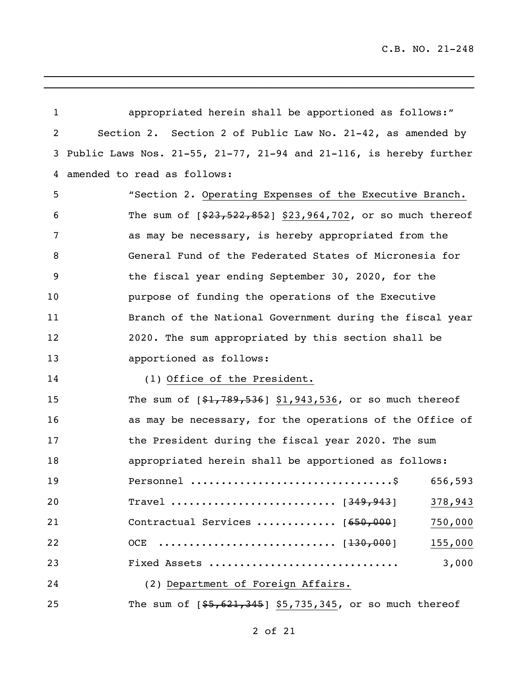| $\mathbf{1}$ | appropriated herein shall be apportioned as follows:"                         |
|--------------|-------------------------------------------------------------------------------|
| 2            | Section 2. Section 2 of Public Law No. 21-42, as amended by                   |
| 3            | Public Laws Nos. $21-55$ , $21-77$ , $21-94$ and $21-116$ , is hereby further |
| 4            | amended to read as follows:                                                   |
| 5            | "Section 2. Operating Expenses of the Executive Branch.                       |
| 6            | The sum of $[$23,522,852]$ \$23,964,702, or so much thereof                   |
| 7            | as may be necessary, is hereby appropriated from the                          |
| 8            | General Fund of the Federated States of Micronesia for                        |
| 9            | the fiscal year ending September 30, 2020, for the                            |
| 10           | purpose of funding the operations of the Executive                            |
| 11           | Branch of the National Government during the fiscal year                      |
| 12           | 2020. The sum appropriated by this section shall be                           |
| 13           | apportioned as follows:                                                       |
| 14           | (1) Office of the President.                                                  |
| 15           | The sum of $[$1,789,536]$ \$1,943,536, or so much thereof                     |
| 16           | as may be necessary, for the operations of the Office of                      |
| 17           | the President during the fiscal year 2020. The sum                            |
| 18           | appropriated herein shall be apportioned as follows:                          |
| 19           | 656,593                                                                       |
| 20           | Travel  [ <del>349,943</del> ]<br>378,943                                     |
| 21           | Contractual Services  [650,000]<br>750,000                                    |
| 22           | 155,000                                                                       |
| 23           | 3,000<br>Fixed Assets                                                         |
| 24           | (2) Department of Foreign Affairs.                                            |
| 25           | The sum of $[$5,621,345]$ \$5,735,345, or so much thereof                     |

\_\_\_\_\_\_\_\_\_\_\_\_\_\_\_\_\_\_\_\_\_\_\_\_\_\_\_\_\_\_\_\_\_\_\_\_\_\_\_\_\_\_\_\_\_\_\_\_\_\_\_\_\_\_\_\_\_\_\_\_\_\_\_\_\_\_\_\_\_\_

 $\overline{\phantom{a}}$  ,  $\overline{\phantom{a}}$  ,  $\overline{\phantom{a}}$  ,  $\overline{\phantom{a}}$  ,  $\overline{\phantom{a}}$  ,  $\overline{\phantom{a}}$  ,  $\overline{\phantom{a}}$  ,  $\overline{\phantom{a}}$  ,  $\overline{\phantom{a}}$  ,  $\overline{\phantom{a}}$  ,  $\overline{\phantom{a}}$  ,  $\overline{\phantom{a}}$  ,  $\overline{\phantom{a}}$  ,  $\overline{\phantom{a}}$  ,  $\overline{\phantom{a}}$  ,  $\overline{\phantom{a}}$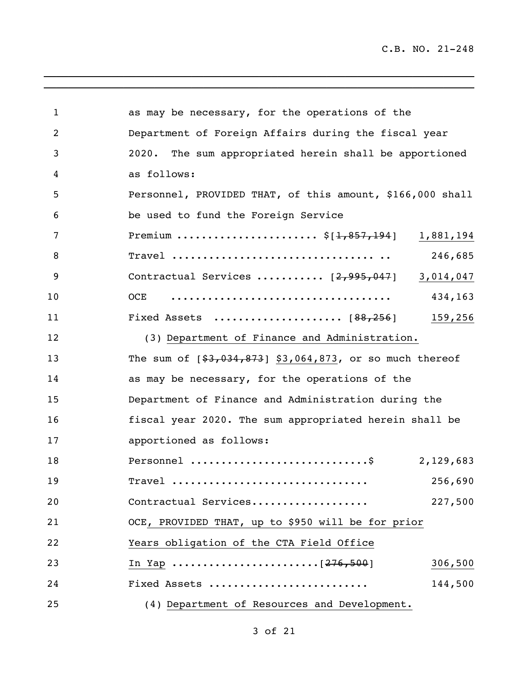\_\_\_\_\_\_\_\_\_\_\_\_\_\_\_\_\_\_\_\_\_\_\_\_\_\_\_\_\_\_\_\_\_\_\_\_\_\_\_\_\_\_\_\_\_\_\_\_\_\_\_\_\_\_\_\_\_\_\_\_\_\_\_\_\_\_\_\_\_\_

| $\mathbf{1}$   | as may be necessary, for the operations of the              |           |
|----------------|-------------------------------------------------------------|-----------|
| $\overline{2}$ | Department of Foreign Affairs during the fiscal year        |           |
| 3              | The sum appropriated herein shall be apportioned<br>2020.   |           |
| 4              | as follows:                                                 |           |
| 5              | Personnel, PROVIDED THAT, of this amount, \$166,000 shall   |           |
| 6              | be used to fund the Foreign Service                         |           |
| 7              | Premium $\frac{5[1,857,194]}{1}$                            | 1,881,194 |
| 8              |                                                             | 246,685   |
| 9              | Contractual Services $[2,995,047]$                          | 3,014,047 |
| 10             | OCE                                                         | 434,163   |
| 11             |                                                             | 159,256   |
| 12             | (3) Department of Finance and Administration.               |           |
| 13             | The sum of $[$ \$3,034,873] \$3,064,873, or so much thereof |           |
| 14             | as may be necessary, for the operations of the              |           |
| 15             | Department of Finance and Administration during the         |           |
| 16             | fiscal year 2020. The sum appropriated herein shall be      |           |
| 17             | apportioned as follows:                                     |           |
| 18             | Personnel \$                                                | 2,129,683 |
| 19             | $\texttt{Travel}$                                           | 256,690   |
| 20             | Contractual Services                                        | 227,500   |
| 21             | OCE, PROVIDED THAT, up to \$950 will be for prior           |           |
| 22             | Years obligation of the CTA Field Office                    |           |
| 23             |                                                             | 306,500   |
| 24             | Fixed Assets                                                | 144,500   |
| 25             | (4) Department of Resources and Development.                |           |

 $\overline{\phantom{a}}$  ,  $\overline{\phantom{a}}$  ,  $\overline{\phantom{a}}$  ,  $\overline{\phantom{a}}$  ,  $\overline{\phantom{a}}$  ,  $\overline{\phantom{a}}$  ,  $\overline{\phantom{a}}$  ,  $\overline{\phantom{a}}$  ,  $\overline{\phantom{a}}$  ,  $\overline{\phantom{a}}$  ,  $\overline{\phantom{a}}$  ,  $\overline{\phantom{a}}$  ,  $\overline{\phantom{a}}$  ,  $\overline{\phantom{a}}$  ,  $\overline{\phantom{a}}$  ,  $\overline{\phantom{a}}$ 

## of 21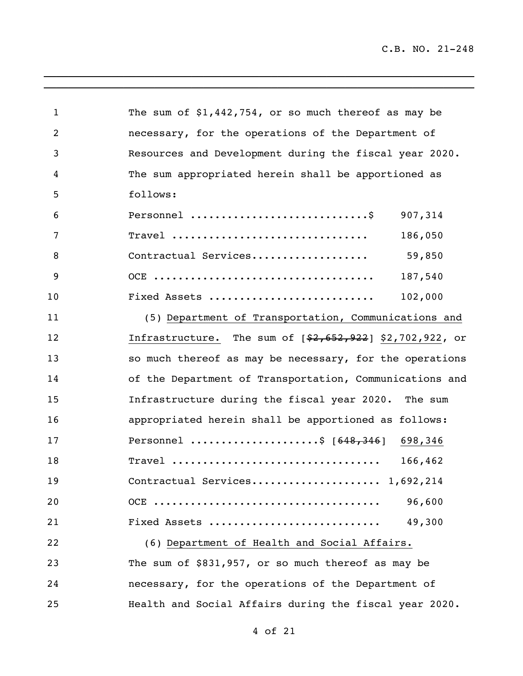\_\_\_\_\_\_\_\_\_\_\_\_\_\_\_\_\_\_\_\_\_\_\_\_\_\_\_\_\_\_\_\_\_\_\_\_\_\_\_\_\_\_\_\_\_\_\_\_\_\_\_\_\_\_\_\_\_\_\_\_\_\_\_\_\_\_\_\_\_\_

| $\mathbf{1}$   | The sum of $$1,442,754$ , or so much thereof as may be    |
|----------------|-----------------------------------------------------------|
| $\overline{2}$ | necessary, for the operations of the Department of        |
| 3              | Resources and Development during the fiscal year 2020.    |
| 4              | The sum appropriated herein shall be apportioned as       |
| 5              | follows:                                                  |
| 6              | Personnel \$<br>907,314                                   |
| 7              | 186,050<br>$\texttt{Trace1}$                              |
| 8              | 59,850<br>Contractual Services                            |
| 9              | 187,540                                                   |
| 10             | 102,000<br>Fixed Assets                                   |
| 11             | (5) Department of Transportation, Communications and      |
| 12             | Infrastructure. The sum of $[$2,652,922]$ \$2,702,922, or |
| 13             | so much thereof as may be necessary, for the operations   |
| 14             | of the Department of Transportation, Communications and   |
| 15             | Infrastructure during the fiscal year 2020. The sum       |
| 16             | appropriated herein shall be apportioned as follows:      |
| 17             | Personnel \$ [648,346] 698,346                            |
| 18             | Travel<br>166,462                                         |
| 19             |                                                           |
| 20             | 96,600                                                    |
| 21             | Fixed Assets<br>49,300                                    |
| 22             | (6) Department of Health and Social Affairs.              |
| 23             | The sum of \$831,957, or so much thereof as may be        |
| 24             | necessary, for the operations of the Department of        |
| 25             | Health and Social Affairs during the fiscal year 2020.    |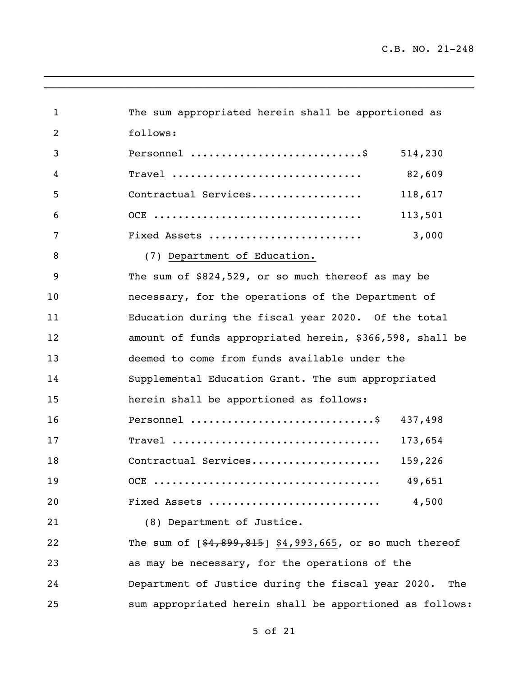$\mathcal{L}_\text{max} = \mathcal{L}_\text{max} = \mathcal{L}_\text{max} = \mathcal{L}_\text{max} = \mathcal{L}_\text{max} = \mathcal{L}_\text{max} = \mathcal{L}_\text{max} = \mathcal{L}_\text{max} = \mathcal{L}_\text{max} = \mathcal{L}_\text{max} = \mathcal{L}_\text{max} = \mathcal{L}_\text{max} = \mathcal{L}_\text{max} = \mathcal{L}_\text{max} = \mathcal{L}_\text{max} = \mathcal{L}_\text{max} = \mathcal{L}_\text{max} = \mathcal{L}_\text{max} = \mathcal{$ 

| $\mathbf 1$ | The sum appropriated herein shall be apportioned as       |
|-------------|-----------------------------------------------------------|
| 2           | follows:                                                  |
| 3           | Personnel  \$<br>514,230                                  |
| 4           | 82,609<br>Travel                                          |
| 5           | Contractual Services<br>118,617                           |
| 6           | 113,501                                                   |
| 7           | 3,000<br>Fixed Assets                                     |
| 8           | (7) Department of Education.                              |
| 9           | The sum of $$824,529$ , or so much thereof as may be      |
| 10          | necessary, for the operations of the Department of        |
| 11          | Education during the fiscal year 2020. Of the total       |
| 12          | amount of funds appropriated herein, \$366,598, shall be  |
| 13          | deemed to come from funds available under the             |
| 14          | Supplemental Education Grant. The sum appropriated        |
| 15          | herein shall be apportioned as follows:                   |
| 16          | Personnel<br>437,498                                      |
| 17          | 173,654                                                   |
| 18          | Contractual Services<br>159,226                           |
| 19          | 49.651                                                    |
| 20          | Fixed Assets<br>4,500                                     |
| 21          | (8) Department of Justice.                                |
| 22          | The sum of $[$4,899,815]$ \$4,993,665, or so much thereof |
| 23          | as may be necessary, for the operations of the            |
| 24          | Department of Justice during the fiscal year 2020.<br>The |
| 25          | sum appropriated herein shall be apportioned as follows:  |

 $\overline{a_1}$  ,  $\overline{a_2}$  ,  $\overline{a_3}$  ,  $\overline{a_4}$  ,  $\overline{a_5}$  ,  $\overline{a_6}$  ,  $\overline{a_7}$  ,  $\overline{a_8}$  ,  $\overline{a_9}$  ,  $\overline{a_9}$  ,  $\overline{a_9}$  ,  $\overline{a_9}$  ,  $\overline{a_9}$  ,  $\overline{a_9}$  ,  $\overline{a_9}$  ,  $\overline{a_9}$  ,  $\overline{a_9}$  ,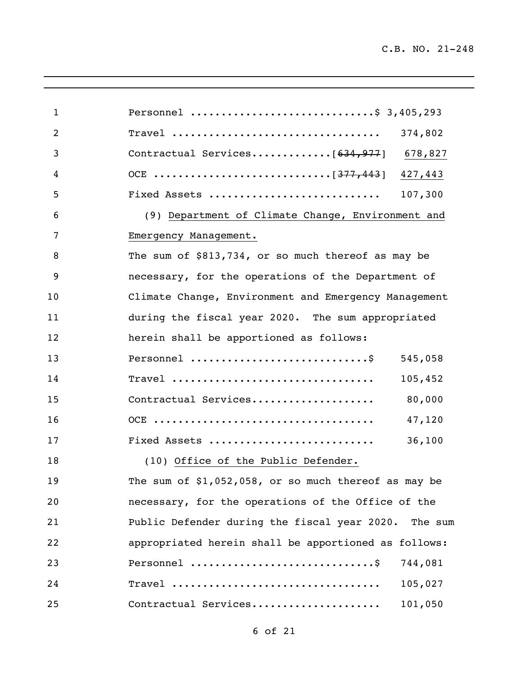$\mathcal{L}_\text{max} = \mathcal{L}_\text{max} = \mathcal{L}_\text{max} = \mathcal{L}_\text{max} = \mathcal{L}_\text{max} = \mathcal{L}_\text{max} = \mathcal{L}_\text{max} = \mathcal{L}_\text{max} = \mathcal{L}_\text{max} = \mathcal{L}_\text{max} = \mathcal{L}_\text{max} = \mathcal{L}_\text{max} = \mathcal{L}_\text{max} = \mathcal{L}_\text{max} = \mathcal{L}_\text{max} = \mathcal{L}_\text{max} = \mathcal{L}_\text{max} = \mathcal{L}_\text{max} = \mathcal{$ 

| $\mathbf{1}$   | Personnel \$ 3,405,293                                 |         |
|----------------|--------------------------------------------------------|---------|
| $\overline{2}$ |                                                        | 374,802 |
| 3              | Contractual Services $[634, 977]$ 678,827              |         |
| 4              |                                                        | 427,443 |
| 5              | Fixed Assets                                           | 107,300 |
| 6              | (9) Department of Climate Change, Environment and      |         |
| 7              | Emergency Management.                                  |         |
| 8              | The sum of \$813,734, or so much thereof as may be     |         |
| 9              | necessary, for the operations of the Department of     |         |
| 10             | Climate Change, Environment and Emergency Management   |         |
| 11             | during the fiscal year 2020. The sum appropriated      |         |
| 12             | herein shall be apportioned as follows:                |         |
| 13             | Personnel \$                                           | 545,058 |
| 14             |                                                        | 105,452 |
| 15             | Contractual Services                                   | 80,000  |
| 16             |                                                        | 47,120  |
| 17             | Fixed Assets                                           | 36,100  |
| 18             | (10) Office of the Public Defender.                    |         |
| 19             | The sum of $$1,052,058$ , or so much thereof as may be |         |
| 20             | necessary, for the operations of the Office of the     |         |
| 21             | Public Defender during the fiscal year 2020. The sum   |         |
| 22             | appropriated herein shall be apportioned as follows:   |         |
| 23             | Personnel \$                                           | 744,081 |
| 24             | Travel                                                 | 105,027 |
| 25             | Contractual Services                                   | 101,050 |

 $\overline{a_1}$  ,  $\overline{a_2}$  ,  $\overline{a_3}$  ,  $\overline{a_4}$  ,  $\overline{a_5}$  ,  $\overline{a_6}$  ,  $\overline{a_7}$  ,  $\overline{a_8}$  ,  $\overline{a_9}$  ,  $\overline{a_9}$  ,  $\overline{a_9}$  ,  $\overline{a_9}$  ,  $\overline{a_9}$  ,  $\overline{a_9}$  ,  $\overline{a_9}$  ,  $\overline{a_9}$  ,  $\overline{a_9}$  ,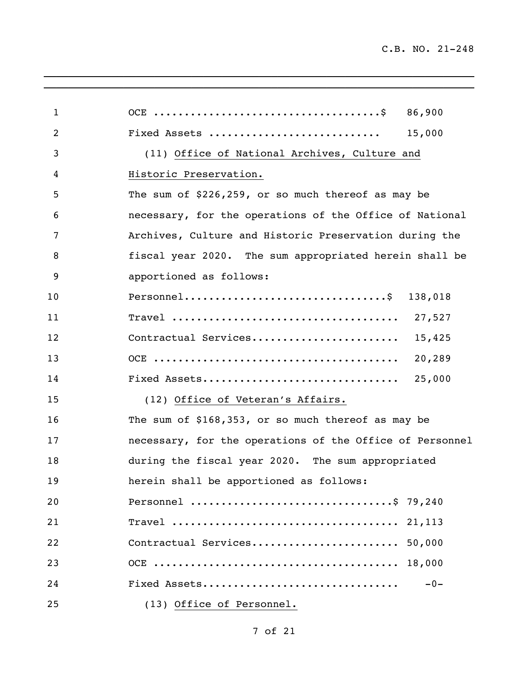| $\mathbf{1}$   |                                                          |
|----------------|----------------------------------------------------------|
| $\overline{2}$ | Fixed Assets<br>15,000                                   |
| 3              | (11) Office of National Archives, Culture and            |
| 4              | Historic Preservation.                                   |
| 5              | The sum of \$226,259, or so much thereof as may be       |
| 6              | necessary, for the operations of the Office of National  |
| 7              | Archives, Culture and Historic Preservation during the   |
| 8              | fiscal year 2020. The sum appropriated herein shall be   |
| 9              | apportioned as follows:                                  |
| 10             | Personnel\$ 138,018                                      |
| 11             |                                                          |
| 12             | Contractual Services<br>15,425                           |
| 13             | 20,289                                                   |
| 14             | Fixed Assets<br>25,000                                   |
| 15             | (12) Office of Veteran's Affairs.                        |
| 16             | The sum of \$168,353, or so much thereof as may be       |
| 17             | necessary, for the operations of the Office of Personnel |
| 18             | during the fiscal year 2020. The sum appropriated        |
| 19             | herein shall be apportioned as follows:                  |
| 20             | Personnel \$ 79,240                                      |
| 21             |                                                          |
| 22             | Contractual Services 50,000                              |
| 23             |                                                          |
| 24             | Fixed Assets<br>$-0-$                                    |
| 25             | (13) Office of Personnel.                                |

\_\_\_\_\_\_\_\_\_\_\_\_\_\_\_\_\_\_\_\_\_\_\_\_\_\_\_\_\_\_\_\_\_\_\_\_\_\_\_\_\_\_\_\_\_\_\_\_\_\_\_\_\_\_\_\_\_\_\_\_\_\_\_\_\_\_\_\_\_\_  $\overline{a_1}$  ,  $\overline{a_2}$  ,  $\overline{a_3}$  ,  $\overline{a_4}$  ,  $\overline{a_5}$  ,  $\overline{a_6}$  ,  $\overline{a_7}$  ,  $\overline{a_8}$  ,  $\overline{a_9}$  ,  $\overline{a_9}$  ,  $\overline{a_9}$  ,  $\overline{a_9}$  ,  $\overline{a_9}$  ,  $\overline{a_9}$  ,  $\overline{a_9}$  ,  $\overline{a_9}$  ,  $\overline{a_9}$  ,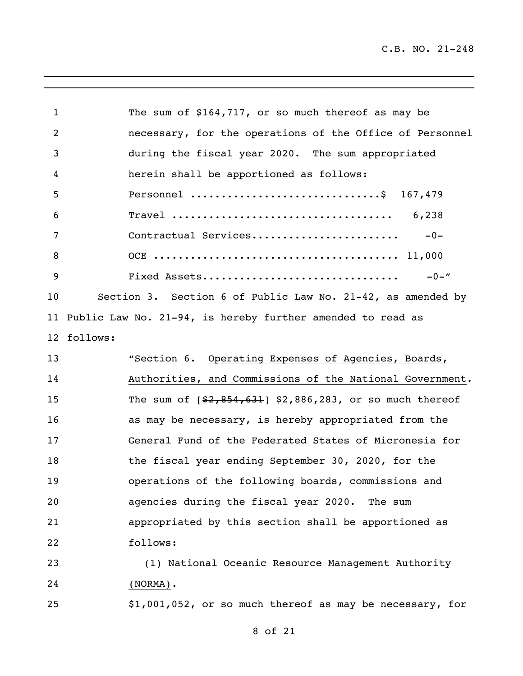\_\_\_\_\_\_\_\_\_\_\_\_\_\_\_\_\_\_\_\_\_\_\_\_\_\_\_\_\_\_\_\_\_\_\_\_\_\_\_\_\_\_\_\_\_\_\_\_\_\_\_\_\_\_\_\_\_\_\_\_\_\_\_\_\_\_\_\_\_\_

| 1               | The sum of \$164,717, or so much thereof as may be          |
|-----------------|-------------------------------------------------------------|
| 2               | necessary, for the operations of the Office of Personnel    |
| 3               | during the fiscal year 2020. The sum appropriated           |
| 4               | herein shall be apportioned as follows:                     |
| 5               | Personnel \$ 167,479                                        |
| 6               | 6,238                                                       |
| 7               | Contractual Services<br>$-0-$                               |
| 8               |                                                             |
| 9               | Fixed Assets<br>$-0 -$ "                                    |
| 10              | Section 3. Section 6 of Public Law No. 21-42, as amended by |
| 11              | Public Law No. 21-94, is hereby further amended to read as  |
| 12 <sup>°</sup> | follows:                                                    |
| 13              | "Section 6. Operating Expenses of Agencies, Boards,         |
| 14              | Authorities, and Commissions of the National Government.    |
| 15              | The sum of $[$2,854,631]$ \$2,886,283, or so much thereof   |
| 16              | as may be necessary, is hereby appropriated from the        |
| 17              | General Fund of the Federated States of Micronesia for      |
| 18              | the fiscal year ending September 30, 2020, for the          |
| 19              | operations of the following boards, commissions and         |
| 20              | agencies during the fiscal year 2020.<br>The sum            |
| 21              | appropriated by this section shall be apportioned as        |
| 22              | follows:                                                    |
| 23              | (1) National Oceanic Resource Management Authority          |
| 24              | $(NORMAL)$ .                                                |
| 25              | \$1,001,052, or so much thereof as may be necessary, for    |

 $\overline{a_1}$  ,  $\overline{a_2}$  ,  $\overline{a_3}$  ,  $\overline{a_4}$  ,  $\overline{a_5}$  ,  $\overline{a_6}$  ,  $\overline{a_7}$  ,  $\overline{a_8}$  ,  $\overline{a_9}$  ,  $\overline{a_9}$  ,  $\overline{a_9}$  ,  $\overline{a_9}$  ,  $\overline{a_9}$  ,  $\overline{a_9}$  ,  $\overline{a_9}$  ,  $\overline{a_9}$  ,  $\overline{a_9}$  ,

of 21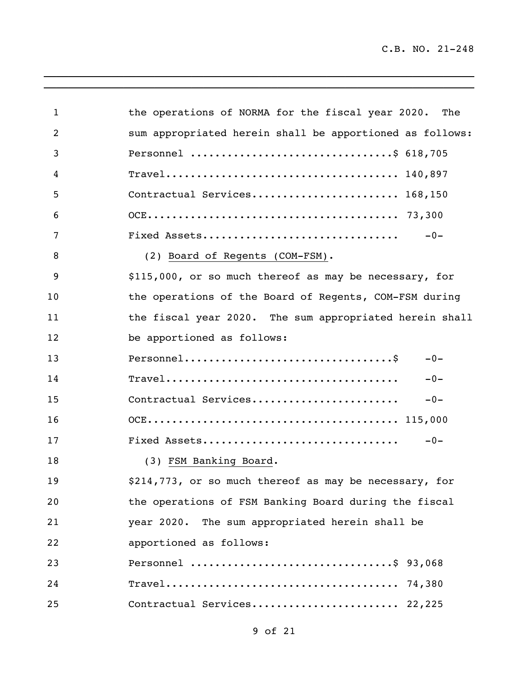\_\_\_\_\_\_\_\_\_\_\_\_\_\_\_\_\_\_\_\_\_\_\_\_\_\_\_\_\_\_\_\_\_\_\_\_\_\_\_\_\_\_\_\_\_\_\_\_\_\_\_\_\_\_\_\_\_\_\_\_\_\_\_\_\_\_\_\_\_\_

| $\mathbf 1$    | the operations of NORMA for the fiscal year 2020. The                                                    |
|----------------|----------------------------------------------------------------------------------------------------------|
| $\overline{2}$ | sum appropriated herein shall be apportioned as follows:                                                 |
| 3              | Personnel \$ 618,705                                                                                     |
| 4              |                                                                                                          |
| 5              | Contractual Services 168,150                                                                             |
| 6              |                                                                                                          |
| 7              | Fixed Assets<br>$-0-$                                                                                    |
| 8              | (2) Board of Regents (COM-FSM).                                                                          |
| 9              | \$115,000, or so much thereof as may be necessary, for                                                   |
| 10             | the operations of the Board of Regents, COM-FSM during                                                   |
| 11             | the fiscal year 2020. The sum appropriated herein shall                                                  |
| 12             | be apportioned as follows:                                                                               |
| 13             | $-0-$                                                                                                    |
| 14             | $\texttt{Travel} \dots \dots \dots \dots \dots \dots \dots \dots \dots \dots \dots \dots \dots$<br>$-0-$ |
| 15             | Contractual Services<br>$-0-$                                                                            |
| 16             |                                                                                                          |
| 17             | Fixed Assets<br>$-0-$                                                                                    |
| 18             | (3) FSM Banking Board.                                                                                   |
| 19             | \$214,773, or so much thereof as may be necessary, for                                                   |
| 20             | the operations of FSM Banking Board during the fiscal                                                    |
| 21             | year 2020. The sum appropriated herein shall be                                                          |
| 22             | apportioned as follows:                                                                                  |
| 23             | Personnel \$ 93,068                                                                                      |
| 24             |                                                                                                          |
| 25             | Contractual Services 22,225                                                                              |

 $\overline{a_1}$  ,  $\overline{a_2}$  ,  $\overline{a_3}$  ,  $\overline{a_4}$  ,  $\overline{a_5}$  ,  $\overline{a_6}$  ,  $\overline{a_7}$  ,  $\overline{a_8}$  ,  $\overline{a_9}$  ,  $\overline{a_9}$  ,  $\overline{a_9}$  ,  $\overline{a_9}$  ,  $\overline{a_9}$  ,  $\overline{a_9}$  ,  $\overline{a_9}$  ,  $\overline{a_9}$  ,  $\overline{a_9}$  ,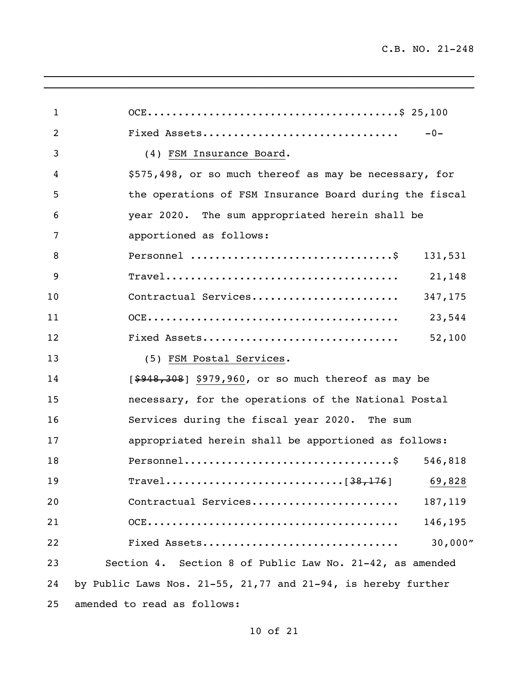| $\mathbf{1}$ |                                                                                         |
|--------------|-----------------------------------------------------------------------------------------|
| 2            | Fixed Assets<br>$-0-$                                                                   |
| 3            | (4) FSM Insurance Board.                                                                |
| 4            | \$575,498, or so much thereof as may be necessary, for                                  |
| 5            | the operations of FSM Insurance Board during the fiscal                                 |
| 6            | year 2020. The sum appropriated herein shall be                                         |
| 7            | apportioned as follows:                                                                 |
| 8            | 131,531                                                                                 |
| 9            | 21,148                                                                                  |
| 10           | Contractual Services<br>347,175                                                         |
| 11           | 23,544                                                                                  |
| 12           | Fixed Assets<br>52,100                                                                  |
| 13           | (5) FSM Postal Services.                                                                |
| 14           | $[$ \$948,308] \$979,960, or so much thereof as may be                                  |
| 15           | necessary, for the operations of the National Postal                                    |
| 16           | Services during the fiscal year 2020. The sum                                           |
| 17           | appropriated herein shall be apportioned as follows:                                    |
| 18           | $Personnel \ldots \ldots \ldots \ldots \ldots \ldots \ldots \ldots \ldots \$<br>546,818 |
| 19           | Travel[38,176] 69,828                                                                   |
| 20           | Contractual Services<br>187,119                                                         |
| 21           | 146,195                                                                                 |
| 22           | 30,000"<br>Fixed Assets                                                                 |
| 23           | Section 4. Section 8 of Public Law No. 21-42, as amended                                |
| 24           | by Public Laws Nos. 21-55, 21,77 and 21-94, is hereby further                           |
| 25           | amended to read as follows:                                                             |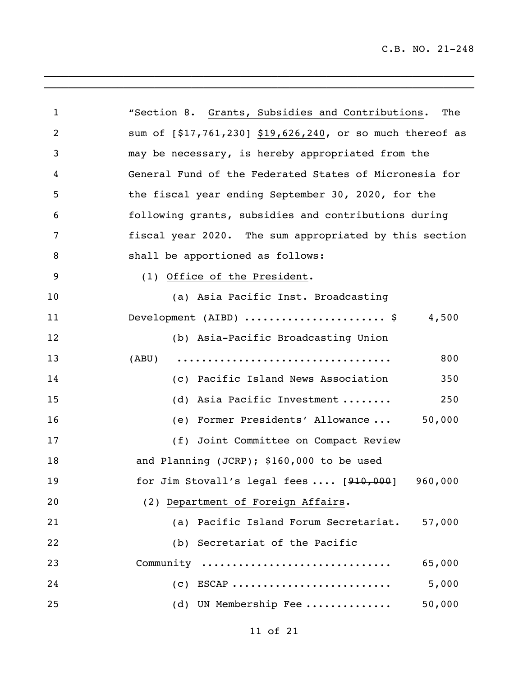| $\mathbf{1}$   | "Section 8. Grants, Subsidies and Contributions.<br>The              |
|----------------|----------------------------------------------------------------------|
| $\overline{2}$ | sum of [\$17,761,230] \$19,626,240, or so much thereof as            |
| 3              | may be necessary, is hereby appropriated from the                    |
| 4              | General Fund of the Federated States of Micronesia for               |
| 5              | the fiscal year ending September 30, 2020, for the                   |
| 6              | following grants, subsidies and contributions during                 |
| 7              | fiscal year 2020. The sum appropriated by this section               |
| 8              | shall be apportioned as follows:                                     |
| 9              | (1) Office of the President.                                         |
| 10             | (a) Asia Pacific Inst. Broadcasting                                  |
| 11             | Development (AIBD) $\dots\dots\dots\dots\dots\dots\dots$ \$<br>4,500 |
| 12             | (b) Asia-Pacific Broadcasting Union                                  |
| 13             | 800                                                                  |
| 14             | (c) Pacific Island News Association<br>350                           |
| 15             | (d) Asia Pacific Investment<br>250                                   |
| 16             | 50,000<br>(e) Former Presidents' Allowance                           |
| 17             | (f) Joint Committee on Compact Review                                |
| 18             | and Planning (JCRP); \$160,000 to be used                            |
| 19             | for Jim Stovall's legal fees $\ldots$ [910,000]<br>960,000           |
| 20             | (2) Department of Foreign Affairs.                                   |
| 21             | (a) Pacific Island Forum Secretariat.<br>57,000                      |
| 22             | (b) Secretariat of the Pacific                                       |
| 23             | Community<br>65,000                                                  |
| 24             | $(c)$ ESCAP<br>5,000                                                 |
| 25             | (d) UN Membership Fee<br>50,000                                      |

\_\_\_\_\_\_\_\_\_\_\_\_\_\_\_\_\_\_\_\_\_\_\_\_\_\_\_\_\_\_\_\_\_\_\_\_\_\_\_\_\_\_\_\_\_\_\_\_\_\_\_\_\_\_\_\_\_\_\_\_\_\_\_\_\_\_\_\_\_\_  $\overline{\phantom{a}}$  , and the contribution of the contribution of the contribution of the contribution of the contribution of the contribution of the contribution of the contribution of the contribution of the contribution of the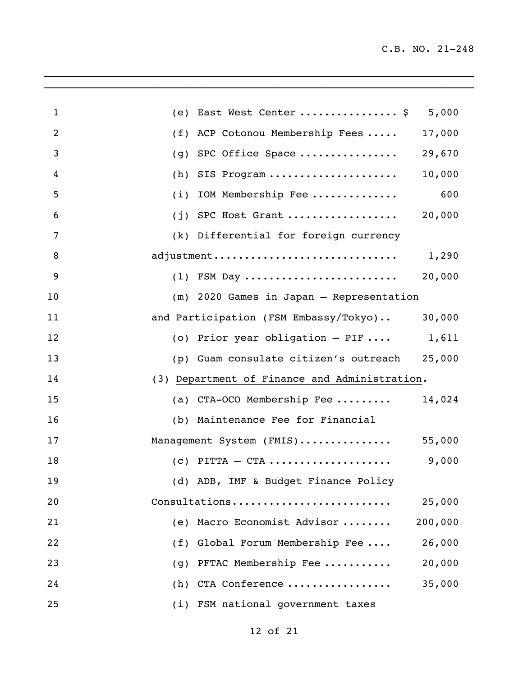| $\mathbf{1}$   | (e) East West Center  \$                      | 5,000   |
|----------------|-----------------------------------------------|---------|
| 2              | (f) ACP Cotonou Membership Fees               | 17,000  |
| 3              | (g) SPC Office Space                          | 29,670  |
| 4              | $(h)$ SIS Program                             | 10,000  |
| 5              | $(i)$ IOM Membership Fee                      | 600     |
| 6              | $(j)$ SPC Host Grant                          | 20,000  |
| 7              | (k) Differential for foreign currency         |         |
| $\, 8$         | adjustment                                    | 1,290   |
| $\overline{9}$ | $(1)$ FSM Day                                 | 20,000  |
| 10             | (m) 2020 Games in Japan - Representation      |         |
| 11             | and Participation (FSM Embassy/Tokyo)         | 30,000  |
| 12             | (o) Prior year obligation $-$ PIF  1,611      |         |
| 13             | (p) Guam consulate citizen's outreach         | 25,000  |
| 14             | (3) Department of Finance and Administration. |         |
| 15             | (a) $CTA-OCO$ Membership Fee                  | 14,024  |
| 16             | (b) Maintenance Fee for Financial             |         |
| 17             | Management System (FMIS)                      | 55,000  |
| 18             | $(c)$ PITTA - CTA                             | 9,000   |
| 19             | (d) ADB, IMF & Budget Finance Policy          |         |
| 20             | Consultations                                 | 25,000  |
| 21             | Macro Economist Advisor<br>(e)                | 200,000 |
| 22             | Global Forum Membership Fee<br>(f)            | 26,000  |
| 23             | PFTAC Membership Fee<br>(g)                   | 20,000  |
| 24             | CTA Conference<br>(h)                         | 35,000  |
| 25             | (i) FSM national government taxes             |         |

 $\mathcal{L}_\mathcal{L} = \mathcal{L}_\mathcal{L} = \mathcal{L}_\mathcal{L} = \mathcal{L}_\mathcal{L} = \mathcal{L}_\mathcal{L} = \mathcal{L}_\mathcal{L} = \mathcal{L}_\mathcal{L} = \mathcal{L}_\mathcal{L} = \mathcal{L}_\mathcal{L} = \mathcal{L}_\mathcal{L} = \mathcal{L}_\mathcal{L} = \mathcal{L}_\mathcal{L} = \mathcal{L}_\mathcal{L} = \mathcal{L}_\mathcal{L} = \mathcal{L}_\mathcal{L} = \mathcal{L}_\mathcal{L} = \mathcal{L}_\mathcal{L}$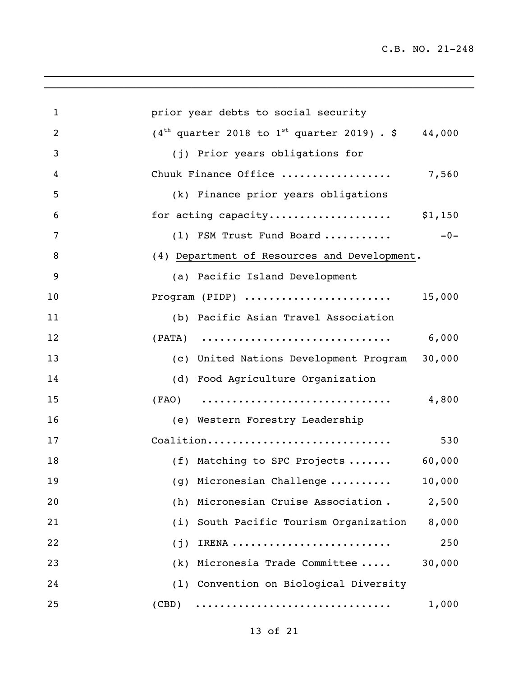| $\mathbf{1}$   | prior year debts to social security                              |
|----------------|------------------------------------------------------------------|
| $\overline{2}$ | $(4th$ quarter 2018 to 1 <sup>st</sup> quarter 2019) . \$ 44,000 |
| $\mathfrak{Z}$ | (j) Prior years obligations for                                  |
| 4              | Chuuk Finance Office  7,560                                      |
| 5              | (k) Finance prior years obligations                              |
| 6              | for acting capacity \$1,150                                      |
| 7              | $-0-$<br>(1) FSM Trust Fund Board                                |
| $\, 8$         | (4) Department of Resources and Development.                     |
| $\overline{9}$ | (a) Pacific Island Development                                   |
| 10             | 15,000<br>Program (PIDP)                                         |
| 11             | (b) Pacific Asian Travel Association                             |
| 12             | 6,000                                                            |
| 13             | (c) United Nations Development Program 30,000                    |
| 14             | (d) Food Agriculture Organization                                |
| 15             | 4,800<br>$(FAO)$                                                 |
| 16             | (e) Western Forestry Leadership                                  |
| 17             | Coalition<br>530                                                 |
| 18             | (f) Matching to SPC Projects<br>60,000                           |
| 19             | $(g)$ Micronesian Challenge<br>10,000                            |
| 20             | (h) Micronesian Cruise Association.<br>2,500                     |
| 21             | (i) South Pacific Tourism Organization<br>8,000                  |
| 22             | 250<br>IRENA<br>(j)                                              |
| 23             | $(k)$ Micronesia Trade Committee<br>30,000                       |
| 24             | (1) Convention on Biological Diversity                           |
| 25             | 1,000<br>(CBD)                                                   |
|                |                                                                  |

 $\mathcal{L}_\mathcal{L} = \mathcal{L}_\mathcal{L} = \mathcal{L}_\mathcal{L} = \mathcal{L}_\mathcal{L} = \mathcal{L}_\mathcal{L} = \mathcal{L}_\mathcal{L} = \mathcal{L}_\mathcal{L} = \mathcal{L}_\mathcal{L} = \mathcal{L}_\mathcal{L} = \mathcal{L}_\mathcal{L} = \mathcal{L}_\mathcal{L} = \mathcal{L}_\mathcal{L} = \mathcal{L}_\mathcal{L} = \mathcal{L}_\mathcal{L} = \mathcal{L}_\mathcal{L} = \mathcal{L}_\mathcal{L} = \mathcal{L}_\mathcal{L}$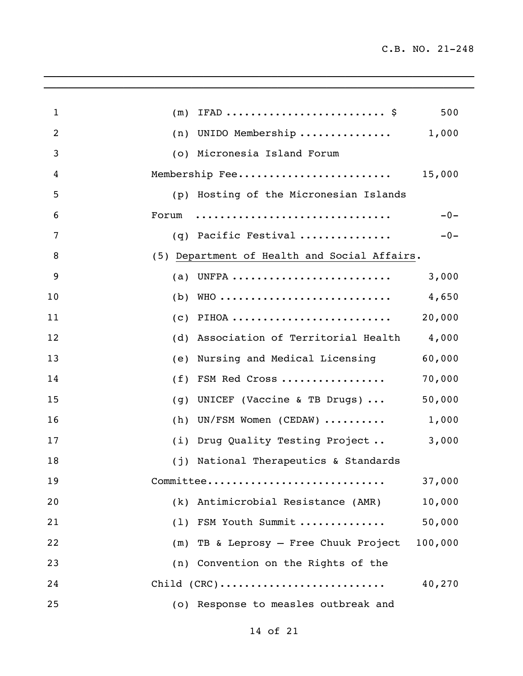| $\mathbf{1}$   | 500<br>(m)                                                                      |
|----------------|---------------------------------------------------------------------------------|
| $\overline{2}$ | $(n)$ UNIDO Membership 1,000                                                    |
| 3              | (o) Micronesia Island Forum                                                     |
| 4              | 15,000<br>Membership Fee                                                        |
| 5              | (p) Hosting of the Micronesian Islands                                          |
| 6              | $-0-$<br>Forum                                                                  |
| 7              | (q) Pacific Festival<br>$-0-$                                                   |
| 8              | (5) Department of Health and Social Affairs.                                    |
| 9              | 3,000<br>$(a)$ UNFPA                                                            |
| 10             | $(b)$ WHO<br>4,650                                                              |
| 11             | 20,000<br>PIHOA<br>(c)                                                          |
| 12             | 4,000<br>(d) Association of Territorial Health                                  |
| 13             | 60,000<br>Nursing and Medical Licensing<br>(e)                                  |
| 14             | 70,000<br>FSM Red Cross<br>(f)                                                  |
| 15             | 50,000<br>UNICEF (Vaccine & TB Drugs) $\ldots$<br>(g)                           |
| 16             | 1,000<br>(h) UN/FSM Women (CEDAW) $\ldots \ldots$                               |
| 17             | 3,000<br>(i) Drug Quality Testing Project                                       |
| 18             | (j) National Therapeutics & Standards                                           |
| 19             | 37,000<br>Committee                                                             |
| 20             | (k) Antimicrobial Resistance (AMR)<br>10,000                                    |
| 21             | (1) FSM Youth Summit<br>50,000                                                  |
| 22             | (m) TB & Leprosy - Free Chuuk Project<br>100,000                                |
| 23             | (n) Convention on the Rights of the                                             |
| 24             | $Child (CRC) \ldots \ldots \ldots \ldots \ldots \ldots \ldots \ldots$<br>40,270 |
| 25             | (o) Response to measles outbreak and                                            |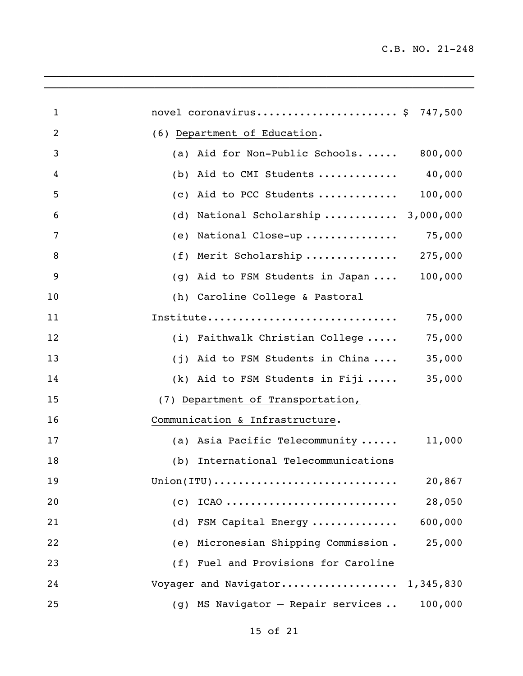| $\mathbf{1}$ | novel coronavirus \$ 747,500                                                 |         |
|--------------|------------------------------------------------------------------------------|---------|
| 2            | (6) Department of Education.                                                 |         |
| 3            | (a) Aid for Non-Public Schools. $\ldots$ . 800,000                           |         |
| 4            | Aid to CMI Students  40,000<br>(b)                                           |         |
| 5            | Aid to PCC Students  100,000<br>(C)                                          |         |
| 6            | National Scholarship  3,000,000<br>(d)                                       |         |
| 7            | National Close-up  75,000<br>(e)                                             |         |
| 8            | Merit Scholarship  275,000<br>(f)                                            |         |
| 9            | Aid to FSM Students in Japan  100,000<br>(g)                                 |         |
| 10           | (h) Caroline College & Pastoral                                              |         |
| 11           | Institute                                                                    | 75,000  |
| 12           | (i) Faithwalk Christian College                                              | 75,000  |
| 13           | (j) Aid to FSM Students in China                                             | 35,000  |
| 14           | (k) Aid to FSM Students in Fiji                                              | 35,000  |
| 15           | (7) Department of Transportation,                                            |         |
| 16           | Communication & Infrastructure.                                              |         |
| 17           | (a) Asia Pacific Telecommunity                                               | 11,000  |
| 18           | (b) International Telecommunications                                         |         |
| 19           | $Union(TTU) \ldots \ldots \ldots \ldots \ldots \ldots \ldots \ldots \ldots$  | 20,867  |
| 20           | (C)<br>$ICAO \ldots \ldots \ldots \ldots \ldots \ldots \ldots \ldots \ldots$ | 28,050  |
| 21           | (d) FSM Capital Energy $600,000$                                             |         |
| 22           | (e) Micronesian Shipping Commission.                                         | 25,000  |
| 23           | (f) Fuel and Provisions for Caroline                                         |         |
| 24           | Voyager and Navigator 1,345,830                                              |         |
| 25           | (g) MS Navigator - Repair services                                           | 100,000 |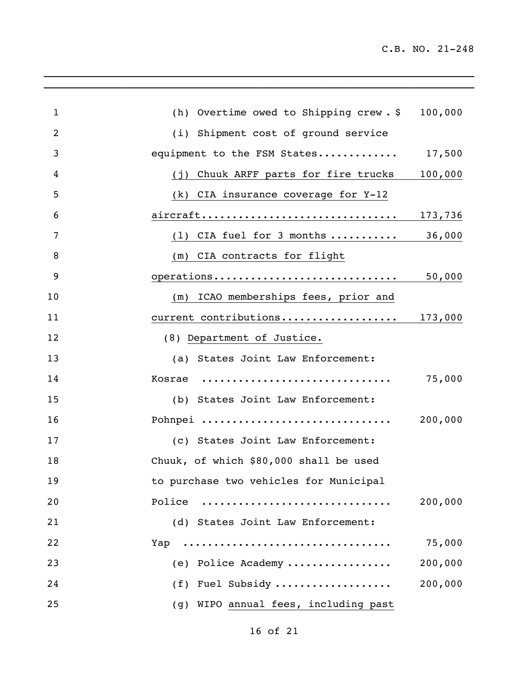| $\mathbf{1}$   | (h) Overtime owed to Shipping crew. \$ 100,000  |         |
|----------------|-------------------------------------------------|---------|
| $\overline{2}$ | (i) Shipment cost of ground service             |         |
| 3              | equipment to the FSM States                     | 17,500  |
| 4              | Chuuk ARFF parts for fire trucks 100,000<br>(i) |         |
| 5              | (k) CIA insurance coverage for Y-12             |         |
| 6              | aircraft                                        | 173,736 |
| 7              | $(1)$ CIA fuel for 3 months                     | 36,000  |
| 8              | (m) CIA contracts for flight                    |         |
| 9              | operations                                      | 50,000  |
| 10             | (m) ICAO memberships fees, prior and            |         |
| 11             | current contributions 173,000                   |         |
| 12             | (8) Department of Justice.                      |         |
| 13             | (a) States Joint Law Enforcement:               |         |
| 14             | Kosrae                                          | 75,000  |
| 15             | (b) States Joint Law Enforcement:               |         |
| 16             | Pohnpei                                         | 200,000 |
| 17             | (c) States Joint Law Enforcement:               |         |
| 18             | Chuuk, of which \$80,000 shall be used          |         |
| 19             | to purchase two vehicles for Municipal          |         |
| 20             | Police                                          | 200,000 |
| 21             | (d) States Joint Law Enforcement:               |         |
| 22             | Yap                                             | 75,000  |
| 23             | (e) Police Academy                              | 200,000 |
| 24             | (f) Fuel Subsidy                                | 200,000 |
| 25             | (g) WIPO annual fees, including past            |         |

 $\mathcal{L}_\mathcal{L} = \mathcal{L}_\mathcal{L} = \mathcal{L}_\mathcal{L} = \mathcal{L}_\mathcal{L} = \mathcal{L}_\mathcal{L} = \mathcal{L}_\mathcal{L} = \mathcal{L}_\mathcal{L} = \mathcal{L}_\mathcal{L} = \mathcal{L}_\mathcal{L} = \mathcal{L}_\mathcal{L} = \mathcal{L}_\mathcal{L} = \mathcal{L}_\mathcal{L} = \mathcal{L}_\mathcal{L} = \mathcal{L}_\mathcal{L} = \mathcal{L}_\mathcal{L} = \mathcal{L}_\mathcal{L} = \mathcal{L}_\mathcal{L}$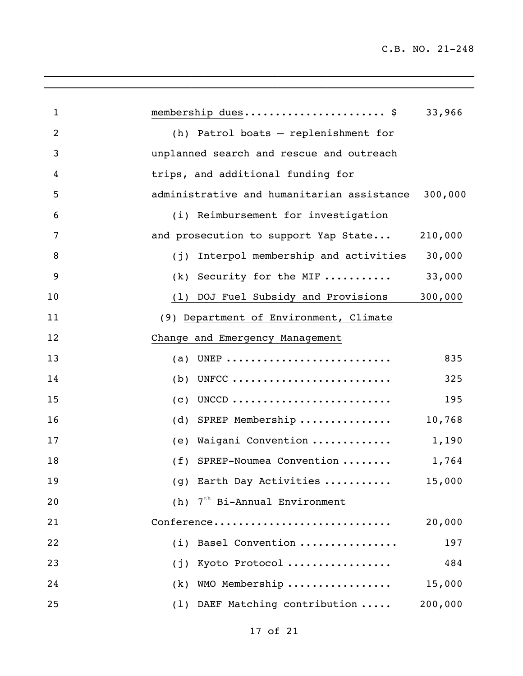| $\mathbf{1}$   | membership dues \$                            | 33,966  |
|----------------|-----------------------------------------------|---------|
| $\overline{2}$ | (h) Patrol boats - replenishment for          |         |
| 3              | unplanned search and rescue and outreach      |         |
| 4              | trips, and additional funding for             |         |
| 5              | administrative and humanitarian assistance    | 300,000 |
| 6              | (i) Reimbursement for investigation           |         |
| 7              | and prosecution to support Yap State          | 210,000 |
| 8              | (j) Interpol membership and activities 30,000 |         |
| 9              | $(k)$ Security for the MIF                    | 33,000  |
| 10             | (1) DOJ Fuel Subsidy and Provisions 300,000   |         |
| 11             | (9) Department of Environment, Climate        |         |
| 12             | Change and Emergency Management               |         |
| 13             | (a) UNEP                                      | 835     |
| 14             | UNFCC<br>(b)                                  | 325     |
| 15             | UNCCD<br>(c)                                  | 195     |
| 16             | (d) SPREP Membership                          | 10,768  |
| 17             | Waigani Convention<br>(e)                     | 1,190   |
| 18             | (f) SPREP-Noumea Convention                   | 1,764   |
| 19             | (g) Earth Day Activities                      | 15,000  |
| 20             | 7 <sup>th</sup> Bi-Annual Environment<br>(h)  |         |
| 21             | Conference                                    | 20,000  |
| 22             | Basel Convention<br>(i)                       | 197     |
| 23             | Kyoto Protocol<br>(i)                         | 484     |
| 24             | WMO Membership<br>(k)                         | 15,000  |
| 25             | (1) DAEF Matching contribution                | 200,000 |

 $\mathcal{L}_\mathcal{L} = \mathcal{L}_\mathcal{L} = \mathcal{L}_\mathcal{L} = \mathcal{L}_\mathcal{L} = \mathcal{L}_\mathcal{L} = \mathcal{L}_\mathcal{L} = \mathcal{L}_\mathcal{L} = \mathcal{L}_\mathcal{L} = \mathcal{L}_\mathcal{L} = \mathcal{L}_\mathcal{L} = \mathcal{L}_\mathcal{L} = \mathcal{L}_\mathcal{L} = \mathcal{L}_\mathcal{L} = \mathcal{L}_\mathcal{L} = \mathcal{L}_\mathcal{L} = \mathcal{L}_\mathcal{L} = \mathcal{L}_\mathcal{L}$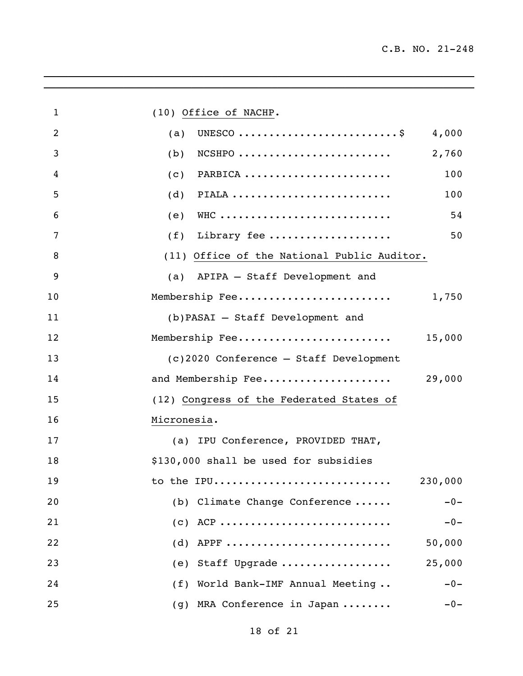| $\mathbf{1}$ | (10) Office of NACHP.                                                                   |
|--------------|-----------------------------------------------------------------------------------------|
| 2            | UNESCO $\ldots \ldots \ldots \ldots \ldots \ldots \ldots \ldots \ldots$<br>4,000<br>(a) |
| 3            | 2,760<br>$NCSHPO$<br>(b)                                                                |
| 4            | PARBICA<br>100<br>(c)                                                                   |
| 5            | (d)<br>PIALA<br>100                                                                     |
| 6            | WHC<br>54<br>(e)                                                                        |
| 7            | Library fee<br>50<br>(f)                                                                |
| 8            | (11) Office of the National Public Auditor.                                             |
| 9            | (a) APIPA - Staff Development and                                                       |
| 10           | Membership Fee<br>1,750                                                                 |
| 11           | (b) PASAI - Staff Development and                                                       |
| 12           | Membership Fee<br>15,000                                                                |
| 13           | (c)2020 Conference - Staff Development                                                  |
| 14           | and Membership Fee<br>29,000                                                            |
| 15           | (12) Congress of the Federated States of                                                |
| 16           | Micronesia.                                                                             |
| 17           | (a) IPU Conference, PROVIDED THAT,                                                      |
| 18           | \$130,000 shall be used for subsidies                                                   |
| 19           | 230,000<br>to the IPU                                                                   |
| 20           | (b) Climate Change Conference<br>$-0-$                                                  |
| 21           | $(c)$ ACP<br>$-0-$                                                                      |
| 22           | $(d)$ APPF<br>50,000                                                                    |
| 23           | 25,000<br>(e) Staff Upgrade                                                             |
| 24           | (f) World Bank-IMF Annual Meeting<br>$-0-$                                              |
| 25           | (g) MRA Conference in Japan<br>$-0-$                                                    |

 $\overline{\phantom{a}}$  ,  $\overline{\phantom{a}}$  ,  $\overline{\phantom{a}}$  ,  $\overline{\phantom{a}}$  ,  $\overline{\phantom{a}}$  ,  $\overline{\phantom{a}}$  ,  $\overline{\phantom{a}}$  ,  $\overline{\phantom{a}}$  ,  $\overline{\phantom{a}}$  ,  $\overline{\phantom{a}}$  ,  $\overline{\phantom{a}}$  ,  $\overline{\phantom{a}}$  ,  $\overline{\phantom{a}}$  ,  $\overline{\phantom{a}}$  ,  $\overline{\phantom{a}}$  ,  $\overline{\phantom{a}}$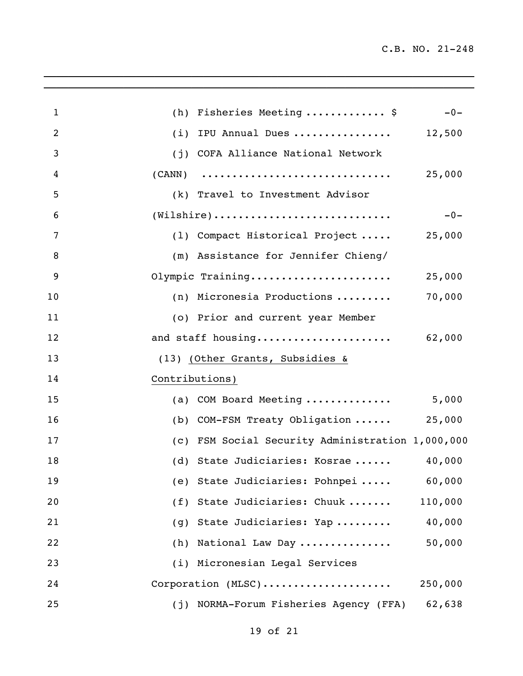| $\mathbf{1}$   | (h) Fisheries Meeting  \$                                                          | $-0-$   |
|----------------|------------------------------------------------------------------------------------|---------|
| $\overline{2}$ | IPU Annual Dues<br>(i)                                                             | 12,500  |
| 3              | COFA Alliance National Network<br>(i)                                              |         |
| 4              | (CANN)                                                                             | 25,000  |
| 5              | (k) Travel to Investment Advisor                                                   |         |
| 6              | $(\mathtt{Wilsonire}) \dots \dots \dots \dots \dots \dots \dots \dots \dots \dots$ | $-0-$   |
| 7              | (1) Compact Historical Project  25,000                                             |         |
| 8              | (m) Assistance for Jennifer Chieng/                                                |         |
| 9              | Olympic Training                                                                   | 25,000  |
| 10             | (n) Micronesia Productions                                                         | 70,000  |
| 11             | (o) Prior and current year Member                                                  |         |
| 12             | and staff housing 62,000                                                           |         |
| 13             | (13) (Other Grants, Subsidies &                                                    |         |
| 14             | Contributions)                                                                     |         |
| 15             | (a) COM Board Meeting $5,000$                                                      |         |
| 16             | (b) COM-FSM Treaty Obligation                                                      | 25,000  |
| 17             | (c) FSM Social Security Administration 1,000,000                                   |         |
| 18             | (d) State Judiciaries: Kosrae                                                      | 40,000  |
| 19             | (e) State Judiciaries: Pohnpei 60,000                                              |         |
| 20             | (f) State Judiciaries: Chuuk                                                       | 110,000 |
| 21             | (g) State Judiciaries: Yap                                                         | 40,000  |
| 22             | National Law Day<br>(h)                                                            | 50,000  |
| 23             | (i) Micronesian Legal Services                                                     |         |
| 24             | Corporation (MLSC)                                                                 | 250,000 |
| 25             | NORMA-Forum Fisheries Agency (FFA)<br>(j)                                          | 62,638  |

 $\mathcal{L}_\mathcal{L}$  , and the set of the set of the set of the set of the set of the set of the set of the set of the set of the set of the set of the set of the set of the set of the set of the set of the set of the set of th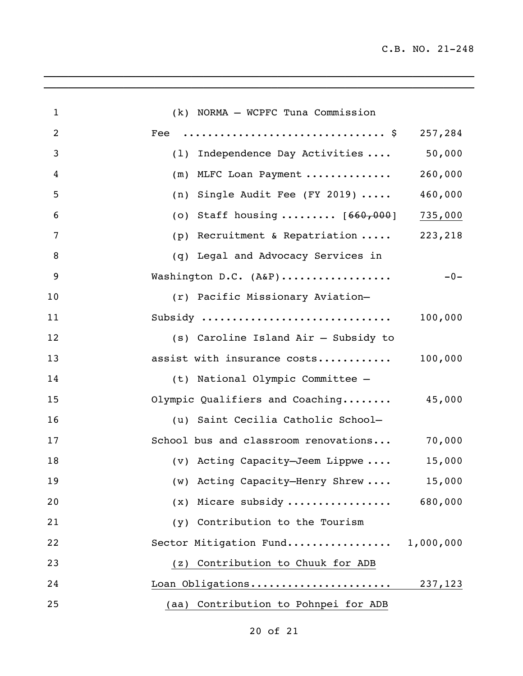| $\mathbf{1}$   | (k) NORMA - WCPFC Tuna Commission       |         |
|----------------|-----------------------------------------|---------|
| $\overline{2}$ |                                         | 257,284 |
| 3              | (1) Independence Day Activities         | 50,000  |
| 4              | (m) MLFC Loan Payment                   | 260,000 |
| 5              | (n) Single Audit Fee (FY 2019) $\cdots$ | 460,000 |
| 6              | (o) Staff housing $[660, 000]$ 735,000  |         |
| $\overline{7}$ | (p) Recruitment & Repatriation  223,218 |         |
| 8              | (q) Legal and Advocacy Services in      |         |
| 9              | Washington D.C. (A&P)                   | $-0-$   |
| 10             | (r) Pacific Missionary Aviation-        |         |
| 11             | Subsidy                                 | 100,000 |
| 12             | (s) Caroline Island Air - Subsidy to    |         |
| 13             | assist with insurance costs             | 100,000 |
| 14             | (t) National Olympic Committee -        |         |
| 15             | Olympic Qualifiers and Coaching 45,000  |         |
| 16             | (u) Saint Cecilia Catholic School-      |         |
| 17             | School bus and classroom renovations    | 70,000  |
| 18             | (v) Acting Capacity-Jeem Lippwe         | 15,000  |
| 19             | (w) Acting Capacity-Henry Shrew         | 15,000  |
| 20             | $(x)$ Micare subsidy                    | 680,000 |
| 21             | (y) Contribution to the Tourism         |         |
| 22             | Sector Mitigation Fund 1,000,000        |         |
| 23             | (z) Contribution to Chuuk for ADB       |         |
| 24             |                                         |         |
| 25             | (aa) Contribution to Pohnpei for ADB    |         |

 $\_$  ,  $\_$  ,  $\_$  ,  $\_$  ,  $\_$  ,  $\_$  ,  $\_$  ,  $\_$  ,  $\_$  ,  $\_$  ,  $\_$  ,  $\_$  ,  $\_$  ,  $\_$  ,  $\_$  ,  $\_$  ,  $\_$  ,  $\_$  ,  $\_$  ,  $\_$  ,  $\_$  ,  $\_$  ,  $\_$  ,  $\_$  ,  $\_$  ,  $\_$  ,  $\_$  ,  $\_$  ,  $\_$  ,  $\_$  ,  $\_$  ,  $\_$  ,  $\_$  ,  $\_$  ,  $\_$  ,  $\_$  ,  $\_$  ,